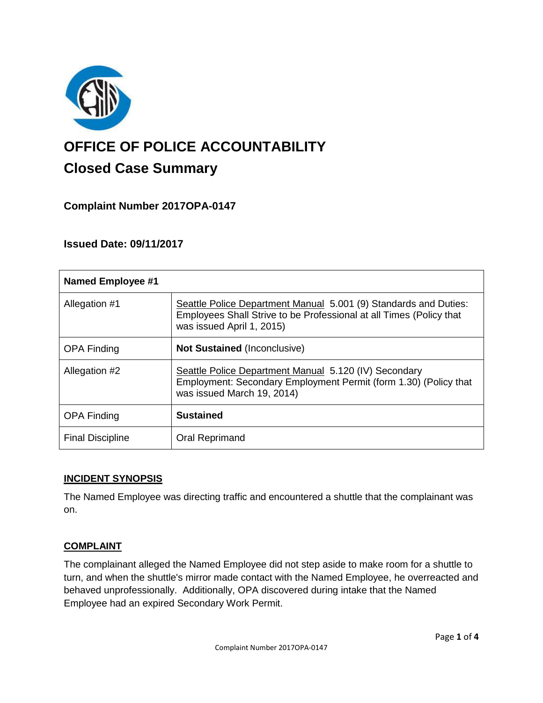

# **OFFICE OF POLICE ACCOUNTABILITY**

# **Closed Case Summary**

## **Complaint Number 2017OPA-0147**

### **Issued Date: 09/11/2017**

| <b>Named Employee #1</b> |                                                                                                                                                                      |
|--------------------------|----------------------------------------------------------------------------------------------------------------------------------------------------------------------|
| Allegation #1            | Seattle Police Department Manual 5.001 (9) Standards and Duties:<br>Employees Shall Strive to be Professional at all Times (Policy that<br>was issued April 1, 2015) |
| <b>OPA Finding</b>       | <b>Not Sustained (Inconclusive)</b>                                                                                                                                  |
| Allegation #2            | Seattle Police Department Manual 5.120 (IV) Secondary<br>Employment: Secondary Employment Permit (form 1.30) (Policy that<br>was issued March 19, 2014)              |
| <b>OPA Finding</b>       | <b>Sustained</b>                                                                                                                                                     |
| <b>Final Discipline</b>  | <b>Oral Reprimand</b>                                                                                                                                                |

#### **INCIDENT SYNOPSIS**

The Named Employee was directing traffic and encountered a shuttle that the complainant was on.

#### **COMPLAINT**

The complainant alleged the Named Employee did not step aside to make room for a shuttle to turn, and when the shuttle's mirror made contact with the Named Employee, he overreacted and behaved unprofessionally. Additionally, OPA discovered during intake that the Named Employee had an expired Secondary Work Permit.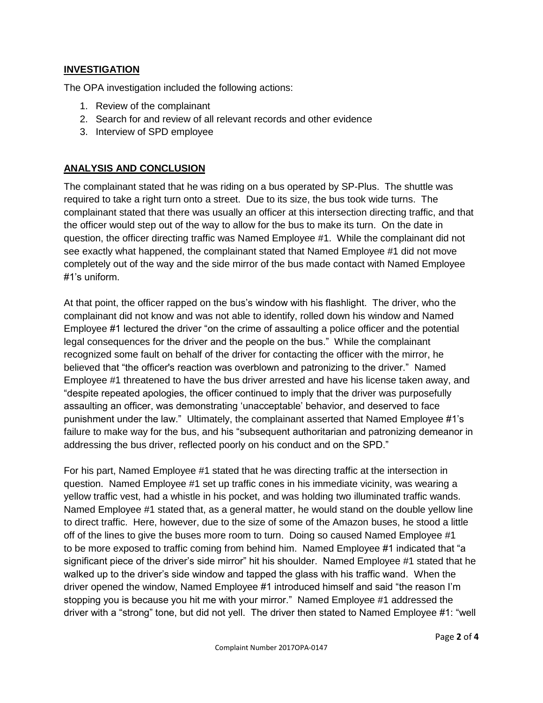#### **INVESTIGATION**

The OPA investigation included the following actions:

- 1. Review of the complainant
- 2. Search for and review of all relevant records and other evidence
- 3. Interview of SPD employee

#### **ANALYSIS AND CONCLUSION**

The complainant stated that he was riding on a bus operated by SP-Plus. The shuttle was required to take a right turn onto a street. Due to its size, the bus took wide turns. The complainant stated that there was usually an officer at this intersection directing traffic, and that the officer would step out of the way to allow for the bus to make its turn. On the date in question, the officer directing traffic was Named Employee #1. While the complainant did not see exactly what happened, the complainant stated that Named Employee #1 did not move completely out of the way and the side mirror of the bus made contact with Named Employee #1's uniform.

At that point, the officer rapped on the bus's window with his flashlight. The driver, who the complainant did not know and was not able to identify, rolled down his window and Named Employee #1 lectured the driver "on the crime of assaulting a police officer and the potential legal consequences for the driver and the people on the bus." While the complainant recognized some fault on behalf of the driver for contacting the officer with the mirror, he believed that "the officer's reaction was overblown and patronizing to the driver." Named Employee #1 threatened to have the bus driver arrested and have his license taken away, and "despite repeated apologies, the officer continued to imply that the driver was purposefully assaulting an officer, was demonstrating 'unacceptable' behavior, and deserved to face punishment under the law." Ultimately, the complainant asserted that Named Employee #1's failure to make way for the bus, and his "subsequent authoritarian and patronizing demeanor in addressing the bus driver, reflected poorly on his conduct and on the SPD."

For his part, Named Employee #1 stated that he was directing traffic at the intersection in question. Named Employee #1 set up traffic cones in his immediate vicinity, was wearing a yellow traffic vest, had a whistle in his pocket, and was holding two illuminated traffic wands. Named Employee #1 stated that, as a general matter, he would stand on the double yellow line to direct traffic. Here, however, due to the size of some of the Amazon buses, he stood a little off of the lines to give the buses more room to turn. Doing so caused Named Employee #1 to be more exposed to traffic coming from behind him. Named Employee #1 indicated that "a significant piece of the driver's side mirror" hit his shoulder. Named Employee #1 stated that he walked up to the driver's side window and tapped the glass with his traffic wand. When the driver opened the window, Named Employee #1 introduced himself and said "the reason I'm stopping you is because you hit me with your mirror." Named Employee #1 addressed the driver with a "strong" tone, but did not yell. The driver then stated to Named Employee #1: "well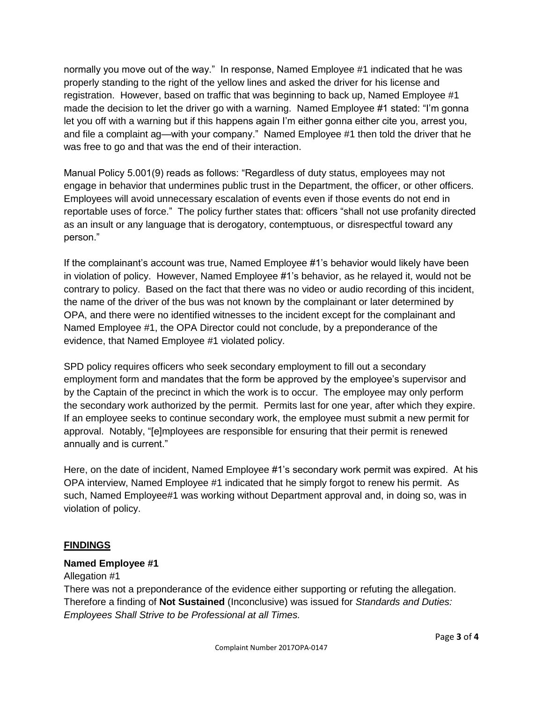normally you move out of the way." In response, Named Employee #1 indicated that he was properly standing to the right of the yellow lines and asked the driver for his license and registration. However, based on traffic that was beginning to back up, Named Employee #1 made the decision to let the driver go with a warning. Named Employee #1 stated: "I'm gonna let you off with a warning but if this happens again I'm either gonna either cite you, arrest you, and file a complaint ag—with your company." Named Employee #1 then told the driver that he was free to go and that was the end of their interaction.

Manual Policy 5.001(9) reads as follows: "Regardless of duty status, employees may not engage in behavior that undermines public trust in the Department, the officer, or other officers. Employees will avoid unnecessary escalation of events even if those events do not end in reportable uses of force." The policy further states that: officers "shall not use profanity directed as an insult or any language that is derogatory, contemptuous, or disrespectful toward any person."

If the complainant's account was true, Named Employee #1's behavior would likely have been in violation of policy. However, Named Employee #1's behavior, as he relayed it, would not be contrary to policy. Based on the fact that there was no video or audio recording of this incident, the name of the driver of the bus was not known by the complainant or later determined by OPA, and there were no identified witnesses to the incident except for the complainant and Named Employee #1, the OPA Director could not conclude, by a preponderance of the evidence, that Named Employee #1 violated policy.

SPD policy requires officers who seek secondary employment to fill out a secondary employment form and mandates that the form be approved by the employee's supervisor and by the Captain of the precinct in which the work is to occur. The employee may only perform the secondary work authorized by the permit. Permits last for one year, after which they expire. If an employee seeks to continue secondary work, the employee must submit a new permit for approval. Notably, "[e]mployees are responsible for ensuring that their permit is renewed annually and is current."

Here, on the date of incident, Named Employee #1's secondary work permit was expired. At his OPA interview, Named Employee #1 indicated that he simply forgot to renew his permit. As such, Named Employee#1 was working without Department approval and, in doing so, was in violation of policy.

#### **FINDINGS**

#### **Named Employee #1**

#### Allegation #1

There was not a preponderance of the evidence either supporting or refuting the allegation. Therefore a finding of **Not Sustained** (Inconclusive) was issued for *Standards and Duties: Employees Shall Strive to be Professional at all Times.*